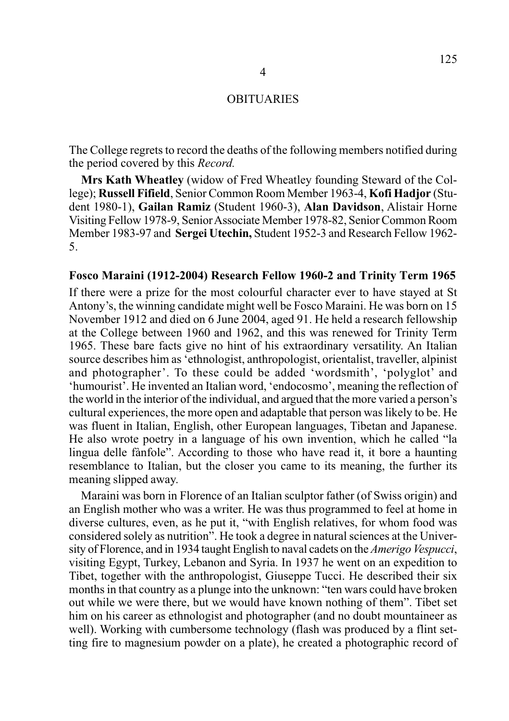The College regrets to record the deaths of the following members notified during the period covered by this *Record.*

**Mrs Kath Wheatley** (widow of Fred Wheatley founding Steward of the College); **Russell Fifield**, Senior Common Room Member 1963-4, **Kofi Hadjor** (Student 1980-1), **Gailan Ramiz** (Student 1960-3), **Alan Davidson**, Alistair Horne Visiting Fellow 1978-9, Senior Associate Member 1978-82, Senior Common Room Member 1983-97 and **Sergei Utechin,** Student 1952-3 and Research Fellow 1962- 5.

#### **Fosco Maraini (1912-2004) Research Fellow 1960-2 and Trinity Term 1965**

If there were a prize for the most colourful character ever to have stayed at St Antony's, the winning candidate might well be Fosco Maraini. He was born on 15 November 1912 and died on 6 June 2004, aged 91. He held a research fellowship at the College between 1960 and 1962, and this was renewed for Trinity Term 1965. These bare facts give no hint of his extraordinary versatility. An Italian source describes him as 'ethnologist, anthropologist, orientalist, traveller, alpinist and photographer'. To these could be added 'wordsmith', 'polyglot' and 'humourist'. He invented an Italian word, 'endocosmo', meaning the reflection of the world in the interior of the individual, and argued that the more varied a person's cultural experiences, the more open and adaptable that person was likely to be. He was fluent in Italian, English, other European languages, Tibetan and Japanese. He also wrote poetry in a language of his own invention, which he called "la lingua delle fànfole". According to those who have read it, it bore a haunting resemblance to Italian, but the closer you came to its meaning, the further its meaning slipped away.

Maraini was born in Florence of an Italian sculptor father (of Swiss origin) and an English mother who was a writer. He was thus programmed to feel at home in diverse cultures, even, as he put it, "with English relatives, for whom food was considered solely as nutrition". He took a degree in natural sciences at the University of Florence, and in 1934 taught English to naval cadets on the *Amerigo Vespucci*, visiting Egypt, Turkey, Lebanon and Syria. In 1937 he went on an expedition to Tibet, together with the anthropologist, Giuseppe Tucci. He described their six months in that country as a plunge into the unknown: "ten wars could have broken out while we were there, but we would have known nothing of them". Tibet set him on his career as ethnologist and photographer (and no doubt mountaineer as well). Working with cumbersome technology (flash was produced by a flint setting fire to magnesium powder on a plate), he created a photographic record of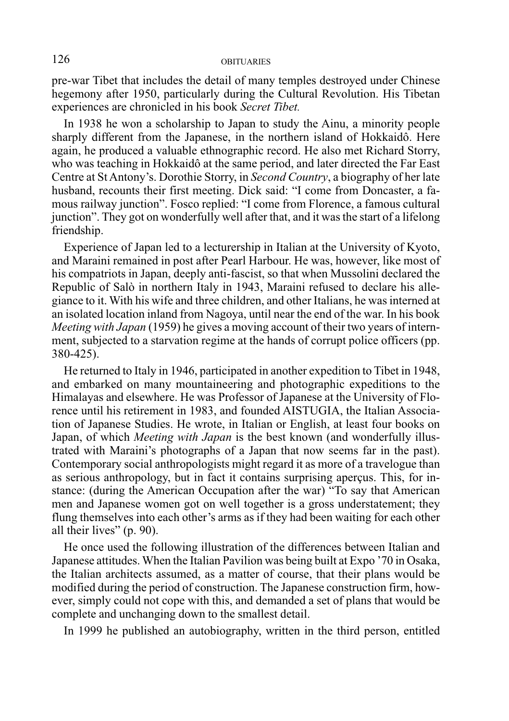pre-war Tibet that includes the detail of many temples destroyed under Chinese hegemony after 1950, particularly during the Cultural Revolution. His Tibetan experiences are chronicled in his book *Secret Tibet.*

In 1938 he won a scholarship to Japan to study the Ainu, a minority people sharply different from the Japanese, in the northern island of Hokkaidô. Here again, he produced a valuable ethnographic record. He also met Richard Storry, who was teaching in Hokkaidô at the same period, and later directed the Far East Centre at St Antony's. Dorothie Storry, in *Second Country*, a biography of her late husband, recounts their first meeting. Dick said: "I come from Doncaster, a famous railway junction". Fosco replied: "I come from Florence, a famous cultural junction". They got on wonderfully well after that, and it was the start of a lifelong friendship.

Experience of Japan led to a lecturership in Italian at the University of Kyoto, and Maraini remained in post after Pearl Harbour. He was, however, like most of his compatriots in Japan, deeply anti-fascist, so that when Mussolini declared the Republic of Salò in northern Italy in 1943, Maraini refused to declare his allegiance to it. With his wife and three children, and other Italians, he was interned at an isolated location inland from Nagoya, until near the end of the war. In his book *Meeting with Japan* (1959) he gives a moving account of their two years of internment, subjected to a starvation regime at the hands of corrupt police officers (pp. 380-425).

He returned to Italy in 1946, participated in another expedition to Tibet in 1948, and embarked on many mountaineering and photographic expeditions to the Himalayas and elsewhere. He was Professor of Japanese at the University of Florence until his retirement in 1983, and founded AISTUGIA, the Italian Association of Japanese Studies. He wrote, in Italian or English, at least four books on Japan, of which *Meeting with Japan* is the best known (and wonderfully illustrated with Maraini's photographs of a Japan that now seems far in the past). Contemporary social anthropologists might regard it as more of a travelogue than as serious anthropology, but in fact it contains surprising aperçus. This, for instance: (during the American Occupation after the war) "To say that American men and Japanese women got on well together is a gross understatement; they flung themselves into each other's arms as if they had been waiting for each other all their lives" (p. 90).

He once used the following illustration of the differences between Italian and Japanese attitudes. When the Italian Pavilion was being built at Expo '70 in Osaka, the Italian architects assumed, as a matter of course, that their plans would be modified during the period of construction. The Japanese construction firm, however, simply could not cope with this, and demanded a set of plans that would be complete and unchanging down to the smallest detail.

In 1999 he published an autobiography, written in the third person, entitled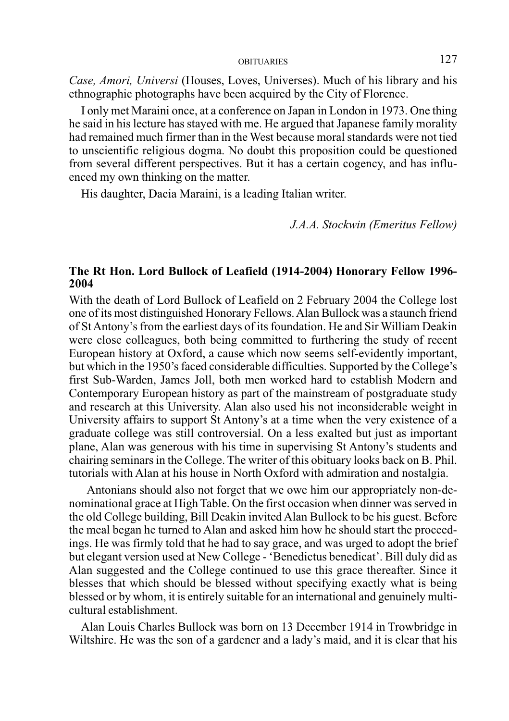*Case, Amori, Universi* (Houses, Loves, Universes). Much of his library and his ethnographic photographs have been acquired by the City of Florence.

I only met Maraini once, at a conference on Japan in London in 1973. One thing he said in his lecture has stayed with me. He argued that Japanese family morality had remained much firmer than in the West because moral standards were not tied to unscientific religious dogma. No doubt this proposition could be questioned from several different perspectives. But it has a certain cogency, and has influenced my own thinking on the matter.

His daughter, Dacia Maraini, is a leading Italian writer.

*J.A.A. Stockwin (Emeritus Fellow)*

## **The Rt Hon. Lord Bullock of Leafield (1914-2004) Honorary Fellow 1996- 2004**

With the death of Lord Bullock of Leafield on 2 February 2004 the College lost one of its most distinguished Honorary Fellows. Alan Bullock was a staunch friend of St Antony's from the earliest days of its foundation. He and Sir William Deakin were close colleagues, both being committed to furthering the study of recent European history at Oxford, a cause which now seems self-evidently important, but which in the 1950's faced considerable difficulties. Supported by the College's first Sub-Warden, James Joll, both men worked hard to establish Modern and Contemporary European history as part of the mainstream of postgraduate study and research at this University. Alan also used his not inconsiderable weight in University affairs to support St Antony's at a time when the very existence of a graduate college was still controversial. On a less exalted but just as important plane, Alan was generous with his time in supervising St Antony's students and chairing seminars in the College. The writer of this obituary looks back on B. Phil. tutorials with Alan at his house in North Oxford with admiration and nostalgia.

 Antonians should also not forget that we owe him our appropriately non-denominational grace at High Table. On the first occasion when dinner was served in the old College building, Bill Deakin invited Alan Bullock to be his guest. Before the meal began he turned to Alan and asked him how he should start the proceedings. He was firmly told that he had to say grace, and was urged to adopt the brief but elegant version used at New College - 'Benedictus benedicat'. Bill duly did as Alan suggested and the College continued to use this grace thereafter. Since it blesses that which should be blessed without specifying exactly what is being blessed or by whom, it is entirely suitable for an international and genuinely multicultural establishment.

Alan Louis Charles Bullock was born on 13 December 1914 in Trowbridge in Wiltshire. He was the son of a gardener and a lady's maid, and it is clear that his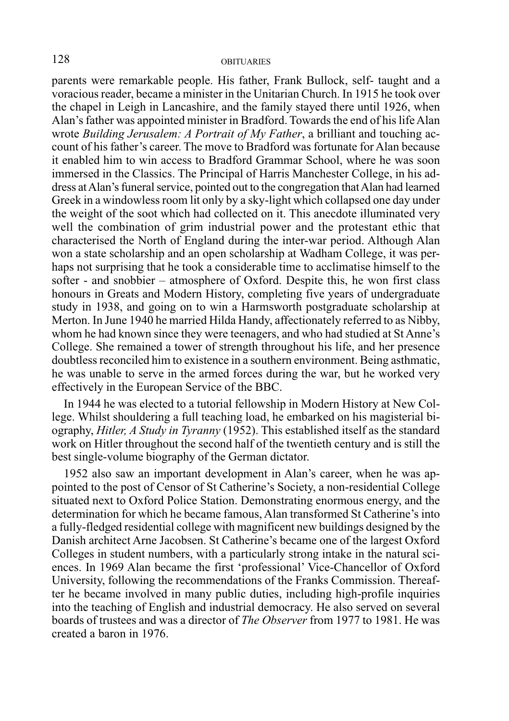parents were remarkable people. His father, Frank Bullock, self- taught and a voracious reader, became a minister in the Unitarian Church. In 1915 he took over the chapel in Leigh in Lancashire, and the family stayed there until 1926, when Alan's father was appointed minister in Bradford. Towards the end of his life Alan wrote *Building Jerusalem: A Portrait of My Father*, a brilliant and touching account of his father's career. The move to Bradford was fortunate for Alan because it enabled him to win access to Bradford Grammar School, where he was soon immersed in the Classics. The Principal of Harris Manchester College, in his address at Alan's funeral service, pointed out to the congregation that Alan had learned Greek in a windowless room lit only by a sky-light which collapsed one day under the weight of the soot which had collected on it. This anecdote illuminated very well the combination of grim industrial power and the protestant ethic that characterised the North of England during the inter-war period. Although Alan won a state scholarship and an open scholarship at Wadham College, it was perhaps not surprising that he took a considerable time to acclimatise himself to the softer - and snobbier – atmosphere of Oxford. Despite this, he won first class honours in Greats and Modern History, completing five years of undergraduate study in 1938, and going on to win a Harmsworth postgraduate scholarship at Merton. In June 1940 he married Hilda Handy, affectionately referred to as Nibby, whom he had known since they were teenagers, and who had studied at St Anne's College. She remained a tower of strength throughout his life, and her presence doubtless reconciled him to existence in a southern environment. Being asthmatic, he was unable to serve in the armed forces during the war, but he worked very effectively in the European Service of the BBC.

In 1944 he was elected to a tutorial fellowship in Modern History at New College. Whilst shouldering a full teaching load, he embarked on his magisterial biography, *Hitler, A Study in Tyranny* (1952). This established itself as the standard work on Hitler throughout the second half of the twentieth century and is still the best single-volume biography of the German dictator.

1952 also saw an important development in Alan's career, when he was appointed to the post of Censor of St Catherine's Society, a non-residential College situated next to Oxford Police Station. Demonstrating enormous energy, and the determination for which he became famous, Alan transformed St Catherine's into a fully-fledged residential college with magnificent new buildings designed by the Danish architect Arne Jacobsen. St Catherine's became one of the largest Oxford Colleges in student numbers, with a particularly strong intake in the natural sciences. In 1969 Alan became the first 'professional' Vice-Chancellor of Oxford University, following the recommendations of the Franks Commission. Thereafter he became involved in many public duties, including high-profile inquiries into the teaching of English and industrial democracy. He also served on several boards of trustees and was a director of *The Observer* from 1977 to 1981. He was created a baron in 1976.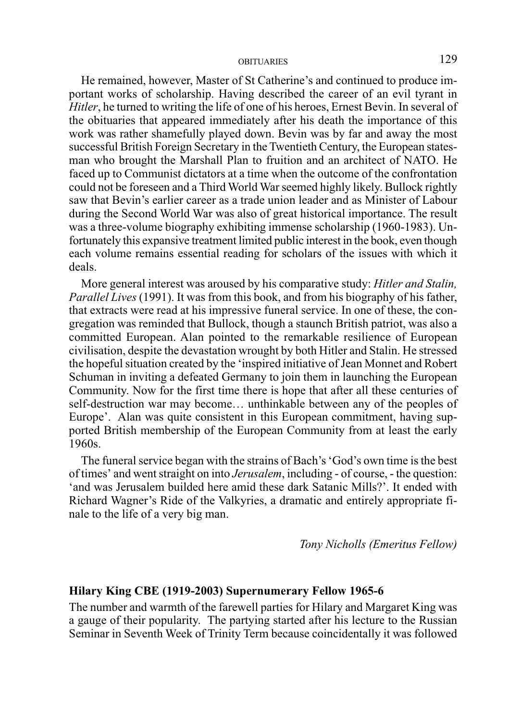He remained, however, Master of St Catherine's and continued to produce important works of scholarship. Having described the career of an evil tyrant in *Hitler*, he turned to writing the life of one of his heroes, Ernest Bevin. In several of the obituaries that appeared immediately after his death the importance of this work was rather shamefully played down. Bevin was by far and away the most successful British Foreign Secretary in the Twentieth Century, the European statesman who brought the Marshall Plan to fruition and an architect of NATO. He faced up to Communist dictators at a time when the outcome of the confrontation could not be foreseen and a Third World War seemed highly likely. Bullock rightly saw that Bevin's earlier career as a trade union leader and as Minister of Labour during the Second World War was also of great historical importance. The result was a three-volume biography exhibiting immense scholarship (1960-1983). Unfortunately this expansive treatment limited public interest in the book, even though each volume remains essential reading for scholars of the issues with which it deals.

More general interest was aroused by his comparative study: *Hitler and Stalin, Parallel Lives* (1991). It was from this book, and from his biography of his father, that extracts were read at his impressive funeral service. In one of these, the congregation was reminded that Bullock, though a staunch British patriot, was also a committed European. Alan pointed to the remarkable resilience of European civilisation, despite the devastation wrought by both Hitler and Stalin. He stressed the hopeful situation created by the 'inspired initiative of Jean Monnet and Robert Schuman in inviting a defeated Germany to join them in launching the European Community. Now for the first time there is hope that after all these centuries of self-destruction war may become… unthinkable between any of the peoples of Europe'. Alan was quite consistent in this European commitment, having supported British membership of the European Community from at least the early 1960s.

The funeral service began with the strains of Bach's 'God's own time is the best of times' and went straight on into *Jerusalem*, including - of course, - the question: 'and was Jerusalem builded here amid these dark Satanic Mills?'. It ended with Richard Wagner's Ride of the Valkyries, a dramatic and entirely appropriate finale to the life of a very big man.

*Tony Nicholls (Emeritus Fellow)*

#### **Hilary King CBE (1919-2003) Supernumerary Fellow 1965-6**

The number and warmth of the farewell parties for Hilary and Margaret King was a gauge of their popularity. The partying started after his lecture to the Russian Seminar in Seventh Week of Trinity Term because coincidentally it was followed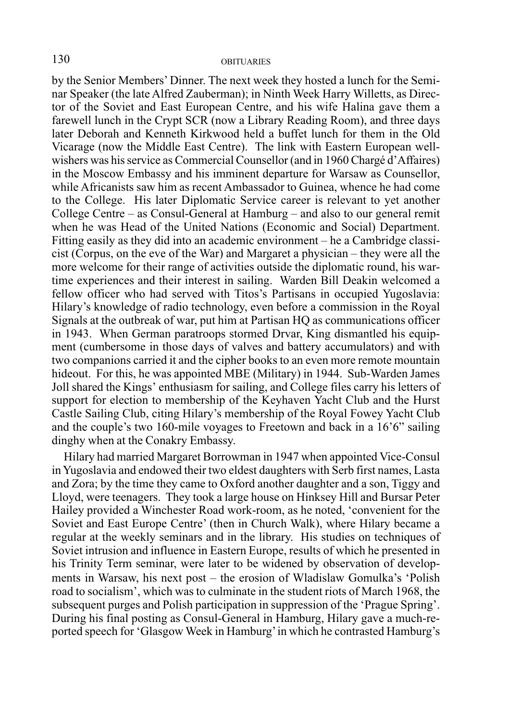by the Senior Members' Dinner. The next week they hosted a lunch for the Seminar Speaker (the late Alfred Zauberman); in Ninth Week Harry Willetts, as Director of the Soviet and East European Centre, and his wife Halina gave them a farewell lunch in the Crypt SCR (now a Library Reading Room), and three days later Deborah and Kenneth Kirkwood held a buffet lunch for them in the Old Vicarage (now the Middle East Centre). The link with Eastern European wellwishers was his service as Commercial Counsellor (and in 1960 Chargé d'Affaires) in the Moscow Embassy and his imminent departure for Warsaw as Counsellor, while Africanists saw him as recent Ambassador to Guinea, whence he had come to the College. His later Diplomatic Service career is relevant to yet another College Centre – as Consul-General at Hamburg – and also to our general remit when he was Head of the United Nations (Economic and Social) Department. Fitting easily as they did into an academic environment – he a Cambridge classicist (Corpus, on the eve of the War) and Margaret a physician – they were all the more welcome for their range of activities outside the diplomatic round, his wartime experiences and their interest in sailing. Warden Bill Deakin welcomed a fellow officer who had served with Titos's Partisans in occupied Yugoslavia: Hilary's knowledge of radio technology, even before a commission in the Royal Signals at the outbreak of war, put him at Partisan HQ as communications officer in 1943. When German paratroops stormed Drvar, King dismantled his equipment (cumbersome in those days of valves and battery accumulators) and with two companions carried it and the cipher books to an even more remote mountain hideout. For this, he was appointed MBE (Military) in 1944. Sub-Warden James Joll shared the Kings' enthusiasm for sailing, and College files carry his letters of support for election to membership of the Keyhaven Yacht Club and the Hurst Castle Sailing Club, citing Hilary's membership of the Royal Fowey Yacht Club and the couple's two 160-mile voyages to Freetown and back in a 16'6" sailing dinghy when at the Conakry Embassy.

Hilary had married Margaret Borrowman in 1947 when appointed Vice-Consul in Yugoslavia and endowed their two eldest daughters with Serb first names, Lasta and Zora; by the time they came to Oxford another daughter and a son, Tiggy and Lloyd, were teenagers. They took a large house on Hinksey Hill and Bursar Peter Hailey provided a Winchester Road work-room, as he noted, 'convenient for the Soviet and East Europe Centre' (then in Church Walk), where Hilary became a regular at the weekly seminars and in the library. His studies on techniques of Soviet intrusion and influence in Eastern Europe, results of which he presented in his Trinity Term seminar, were later to be widened by observation of developments in Warsaw, his next post – the erosion of Wladislaw Gomulka's 'Polish road to socialism', which was to culminate in the student riots of March 1968, the subsequent purges and Polish participation in suppression of the 'Prague Spring'. During his final posting as Consul-General in Hamburg, Hilary gave a much-reported speech for 'Glasgow Week in Hamburg' in which he contrasted Hamburg's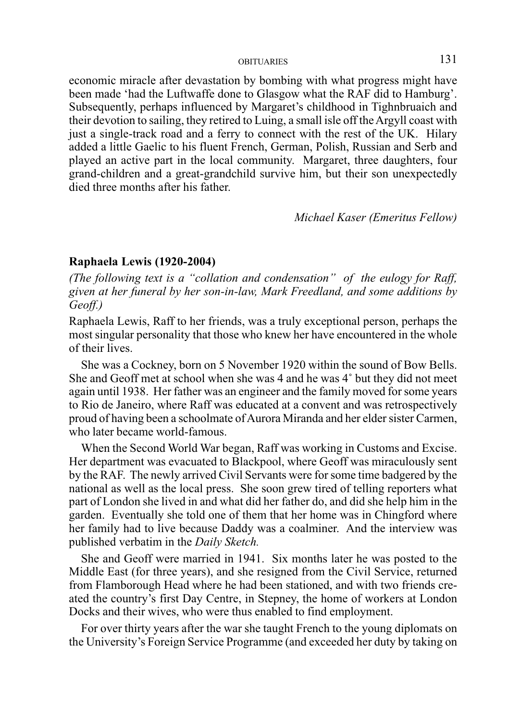economic miracle after devastation by bombing with what progress might have been made 'had the Luftwaffe done to Glasgow what the RAF did to Hamburg'. Subsequently, perhaps influenced by Margaret's childhood in Tighnbruaich and their devotion to sailing, they retired to Luing, a small isle off the Argyll coast with just a single-track road and a ferry to connect with the rest of the UK. Hilary added a little Gaelic to his fluent French, German, Polish, Russian and Serb and played an active part in the local community. Margaret, three daughters, four grand-children and a great-grandchild survive him, but their son unexpectedly died three months after his father.

*Michael Kaser (Emeritus Fellow)*

#### **Raphaela Lewis (1920-2004)**

*(The following text is a "collation and condensation" of the eulogy for Raff, given at her funeral by her son-in-law, Mark Freedland, and some additions by Geoff.)*

Raphaela Lewis, Raff to her friends, was a truly exceptional person, perhaps the most singular personality that those who knew her have encountered in the whole of their lives.

She was a Cockney, born on 5 November 1920 within the sound of Bow Bells. She and Geoff met at school when she was 4 and he was 4˚ but they did not meet again until 1938. Her father was an engineer and the family moved for some years to Rio de Janeiro, where Raff was educated at a convent and was retrospectively proud of having been a schoolmate of Aurora Miranda and her elder sister Carmen, who later became world-famous.

When the Second World War began, Raff was working in Customs and Excise. Her department was evacuated to Blackpool, where Geoff was miraculously sent by the RAF. The newly arrived Civil Servants were for some time badgered by the national as well as the local press. She soon grew tired of telling reporters what part of London she lived in and what did her father do, and did she help him in the garden. Eventually she told one of them that her home was in Chingford where her family had to live because Daddy was a coalminer. And the interview was published verbatim in the *Daily Sketch.*

She and Geoff were married in 1941. Six months later he was posted to the Middle East (for three years), and she resigned from the Civil Service, returned from Flamborough Head where he had been stationed, and with two friends created the country's first Day Centre, in Stepney, the home of workers at London Docks and their wives, who were thus enabled to find employment.

For over thirty years after the war she taught French to the young diplomats on the University's Foreign Service Programme (and exceeded her duty by taking on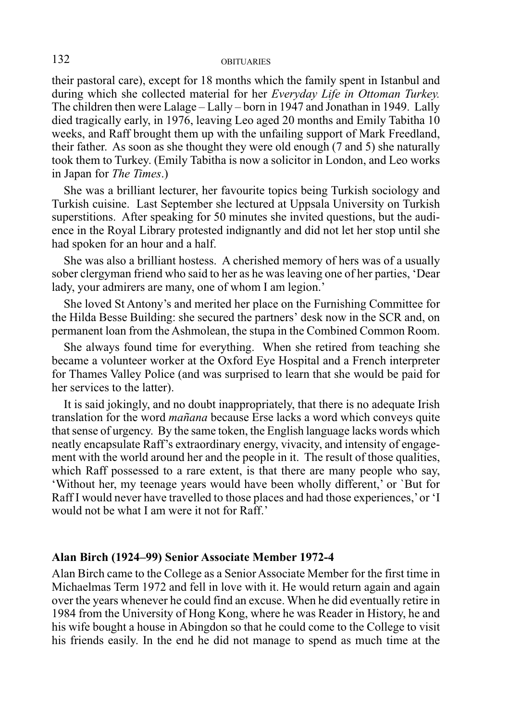their pastoral care), except for 18 months which the family spent in Istanbul and during which she collected material for her *Everyday Life in Ottoman Turkey.* The children then were Lalage – Lally – born in 1947 and Jonathan in 1949. Lally died tragically early, in 1976, leaving Leo aged 20 months and Emily Tabitha 10 weeks, and Raff brought them up with the unfailing support of Mark Freedland, their father. As soon as she thought they were old enough (7 and 5) she naturally took them to Turkey. (Emily Tabitha is now a solicitor in London, and Leo works in Japan for *The Times*.)

She was a brilliant lecturer, her favourite topics being Turkish sociology and Turkish cuisine. Last September she lectured at Uppsala University on Turkish superstitions. After speaking for 50 minutes she invited questions, but the audience in the Royal Library protested indignantly and did not let her stop until she had spoken for an hour and a half.

She was also a brilliant hostess. A cherished memory of hers was of a usually sober clergyman friend who said to her as he was leaving one of her parties, 'Dear lady, your admirers are many, one of whom I am legion.'

She loved St Antony's and merited her place on the Furnishing Committee for the Hilda Besse Building: she secured the partners' desk now in the SCR and, on permanent loan from the Ashmolean, the stupa in the Combined Common Room.

She always found time for everything. When she retired from teaching she became a volunteer worker at the Oxford Eye Hospital and a French interpreter for Thames Valley Police (and was surprised to learn that she would be paid for her services to the latter).

It is said jokingly, and no doubt inappropriately, that there is no adequate Irish translation for the word *mañana* because Erse lacks a word which conveys quite that sense of urgency. By the same token, the English language lacks words which neatly encapsulate Raff's extraordinary energy, vivacity, and intensity of engagement with the world around her and the people in it. The result of those qualities, which Raff possessed to a rare extent, is that there are many people who say, 'Without her, my teenage years would have been wholly different,' or `But for Raff I would never have travelled to those places and had those experiences,' or 'I would not be what I am were it not for Raff.'

#### **Alan Birch (1924–99) Senior Associate Member 1972-4**

Alan Birch came to the College as a Senior Associate Member for the first time in Michaelmas Term 1972 and fell in love with it. He would return again and again over the years whenever he could find an excuse. When he did eventually retire in 1984 from the University of Hong Kong, where he was Reader in History, he and his wife bought a house in Abingdon so that he could come to the College to visit his friends easily. In the end he did not manage to spend as much time at the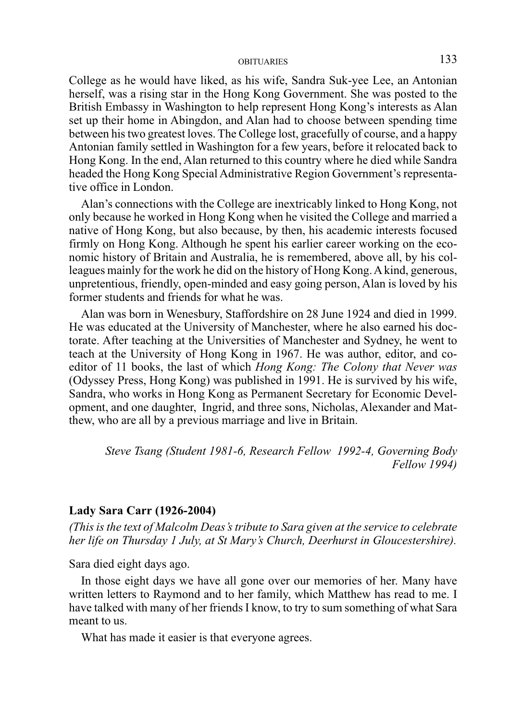College as he would have liked, as his wife, Sandra Suk-yee Lee, an Antonian herself, was a rising star in the Hong Kong Government. She was posted to the British Embassy in Washington to help represent Hong Kong's interests as Alan set up their home in Abingdon, and Alan had to choose between spending time between his two greatest loves. The College lost, gracefully of course, and a happy Antonian family settled in Washington for a few years, before it relocated back to Hong Kong. In the end, Alan returned to this country where he died while Sandra headed the Hong Kong Special Administrative Region Government's representative office in London.

Alan's connections with the College are inextricably linked to Hong Kong, not only because he worked in Hong Kong when he visited the College and married a native of Hong Kong, but also because, by then, his academic interests focused firmly on Hong Kong. Although he spent his earlier career working on the economic history of Britain and Australia, he is remembered, above all, by his colleagues mainly for the work he did on the history of Hong Kong. A kind, generous, unpretentious, friendly, open-minded and easy going person, Alan is loved by his former students and friends for what he was.

Alan was born in Wenesbury, Staffordshire on 28 June 1924 and died in 1999. He was educated at the University of Manchester, where he also earned his doctorate. After teaching at the Universities of Manchester and Sydney, he went to teach at the University of Hong Kong in 1967. He was author, editor, and coeditor of 11 books, the last of which *Hong Kong: The Colony that Never was* (Odyssey Press, Hong Kong) was published in 1991. He is survived by his wife, Sandra, who works in Hong Kong as Permanent Secretary for Economic Development, and one daughter, Ingrid, and three sons, Nicholas, Alexander and Matthew, who are all by a previous marriage and live in Britain.

*Steve Tsang (Student 1981-6, Research Fellow 1992-4, Governing Body Fellow 1994)*

#### **Lady Sara Carr (1926-2004)**

*(This is the text of Malcolm Deas's tribute to Sara given at the service to celebrate her life on Thursday 1 July, at St Mary's Church, Deerhurst in Gloucestershire).*

Sara died eight days ago.

In those eight days we have all gone over our memories of her. Many have written letters to Raymond and to her family, which Matthew has read to me. I have talked with many of her friends I know, to try to sum something of what Sara meant to us.

What has made it easier is that everyone agrees.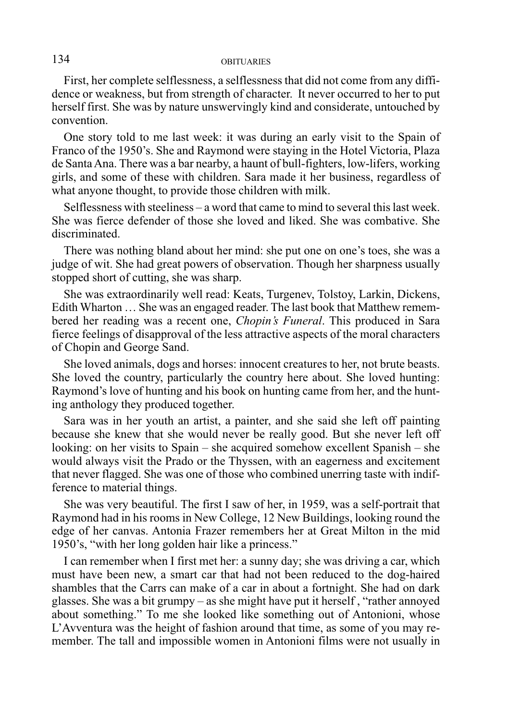First, her complete selflessness, a selflessness that did not come from any diffidence or weakness, but from strength of character. It never occurred to her to put herself first. She was by nature unswervingly kind and considerate, untouched by convention.

One story told to me last week: it was during an early visit to the Spain of Franco of the 1950's. She and Raymond were staying in the Hotel Victoria, Plaza de Santa Ana. There was a bar nearby, a haunt of bull-fighters, low-lifers, working girls, and some of these with children. Sara made it her business, regardless of what anyone thought, to provide those children with milk.

Selflessness with steeliness – a word that came to mind to several this last week. She was fierce defender of those she loved and liked. She was combative. She discriminated.

There was nothing bland about her mind: she put one on one's toes, she was a judge of wit. She had great powers of observation. Though her sharpness usually stopped short of cutting, she was sharp.

She was extraordinarily well read: Keats, Turgenev, Tolstoy, Larkin, Dickens, Edith Wharton … She was an engaged reader. The last book that Matthew remembered her reading was a recent one, *Chopin's Funeral*. This produced in Sara fierce feelings of disapproval of the less attractive aspects of the moral characters of Chopin and George Sand.

She loved animals, dogs and horses: innocent creatures to her, not brute beasts. She loved the country, particularly the country here about. She loved hunting: Raymond's love of hunting and his book on hunting came from her, and the hunting anthology they produced together.

Sara was in her youth an artist, a painter, and she said she left off painting because she knew that she would never be really good. But she never left off looking: on her visits to Spain – she acquired somehow excellent Spanish – she would always visit the Prado or the Thyssen, with an eagerness and excitement that never flagged. She was one of those who combined unerring taste with indifference to material things.

She was very beautiful. The first I saw of her, in 1959, was a self-portrait that Raymond had in his rooms in New College, 12 New Buildings, looking round the edge of her canvas. Antonia Frazer remembers her at Great Milton in the mid 1950's, "with her long golden hair like a princess."

I can remember when I first met her: a sunny day; she was driving a car, which must have been new, a smart car that had not been reduced to the dog-haired shambles that the Carrs can make of a car in about a fortnight. She had on dark glasses. She was a bit grumpy – as she might have put it herself , "rather annoyed about something." To me she looked like something out of Antonioni, whose L'Avventura was the height of fashion around that time, as some of you may remember. The tall and impossible women in Antonioni films were not usually in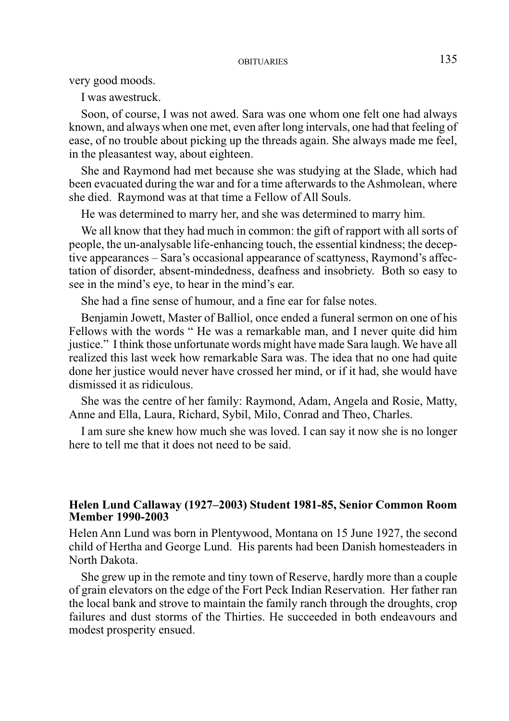very good moods.

I was awestruck.

Soon, of course, I was not awed. Sara was one whom one felt one had always known, and always when one met, even after long intervals, one had that feeling of ease, of no trouble about picking up the threads again. She always made me feel, in the pleasantest way, about eighteen.

She and Raymond had met because she was studying at the Slade, which had been evacuated during the war and for a time afterwards to the Ashmolean, where she died. Raymond was at that time a Fellow of All Souls.

He was determined to marry her, and she was determined to marry him.

We all know that they had much in common: the gift of rapport with all sorts of people, the un-analysable life-enhancing touch, the essential kindness; the deceptive appearances – Sara's occasional appearance of scattyness, Raymond's affectation of disorder, absent-mindedness, deafness and insobriety. Both so easy to see in the mind's eye, to hear in the mind's ear.

She had a fine sense of humour, and a fine ear for false notes.

Benjamin Jowett, Master of Balliol, once ended a funeral sermon on one of his Fellows with the words " He was a remarkable man, and I never quite did him justice." I think those unfortunate words might have made Sara laugh. We have all realized this last week how remarkable Sara was. The idea that no one had quite done her justice would never have crossed her mind, or if it had, she would have dismissed it as ridiculous.

She was the centre of her family: Raymond, Adam, Angela and Rosie, Matty, Anne and Ella, Laura, Richard, Sybil, Milo, Conrad and Theo, Charles.

I am sure she knew how much she was loved. I can say it now she is no longer here to tell me that it does not need to be said.

## **Helen Lund Callaway (1927–2003) Student 1981-85, Senior Common Room Member 1990-2003**

Helen Ann Lund was born in Plentywood, Montana on 15 June 1927, the second child of Hertha and George Lund. His parents had been Danish homesteaders in North Dakota.

She grew up in the remote and tiny town of Reserve, hardly more than a couple of grain elevators on the edge of the Fort Peck Indian Reservation. Her father ran the local bank and strove to maintain the family ranch through the droughts, crop failures and dust storms of the Thirties. He succeeded in both endeavours and modest prosperity ensued.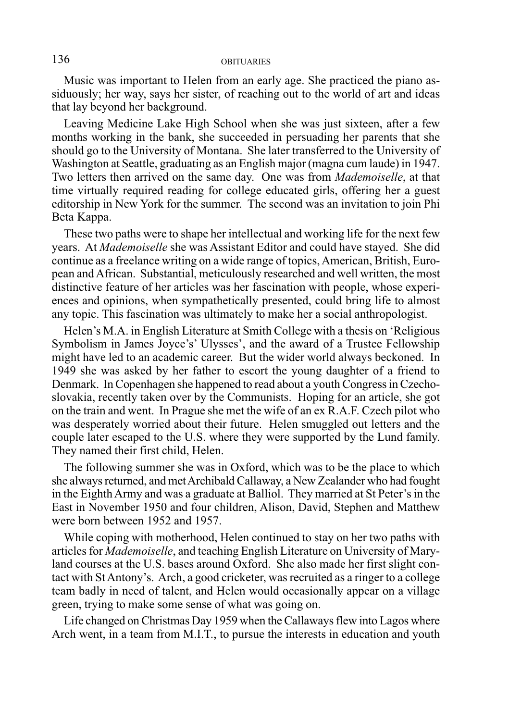Music was important to Helen from an early age. She practiced the piano assiduously; her way, says her sister, of reaching out to the world of art and ideas that lay beyond her background.

Leaving Medicine Lake High School when she was just sixteen, after a few months working in the bank, she succeeded in persuading her parents that she should go to the University of Montana. She later transferred to the University of Washington at Seattle, graduating as an English major (magna cum laude) in 1947. Two letters then arrived on the same day. One was from *Mademoiselle*, at that time virtually required reading for college educated girls, offering her a guest editorship in New York for the summer. The second was an invitation to join Phi Beta Kappa.

These two paths were to shape her intellectual and working life for the next few years. At *Mademoiselle* she was Assistant Editor and could have stayed. She did continue as a freelance writing on a wide range of topics, American, British, European and African. Substantial, meticulously researched and well written, the most distinctive feature of her articles was her fascination with people, whose experiences and opinions, when sympathetically presented, could bring life to almost any topic. This fascination was ultimately to make her a social anthropologist.

Helen's M.A. in English Literature at Smith College with a thesis on 'Religious Symbolism in James Joyce's' Ulysses', and the award of a Trustee Fellowship might have led to an academic career. But the wider world always beckoned. In 1949 she was asked by her father to escort the young daughter of a friend to Denmark. In Copenhagen she happened to read about a youth Congress in Czechoslovakia, recently taken over by the Communists. Hoping for an article, she got on the train and went. In Prague she met the wife of an ex R.A.F. Czech pilot who was desperately worried about their future. Helen smuggled out letters and the couple later escaped to the U.S. where they were supported by the Lund family. They named their first child, Helen.

The following summer she was in Oxford, which was to be the place to which she always returned, and met Archibald Callaway, a New Zealander who had fought in the Eighth Army and was a graduate at Balliol. They married at St Peter's in the East in November 1950 and four children, Alison, David, Stephen and Matthew were born between 1952 and 1957.

While coping with motherhood, Helen continued to stay on her two paths with articles for *Mademoiselle*, and teaching English Literature on University of Maryland courses at the U.S. bases around Oxford. She also made her first slight contact with St Antony's. Arch, a good cricketer, was recruited as a ringer to a college team badly in need of talent, and Helen would occasionally appear on a village green, trying to make some sense of what was going on.

Life changed on Christmas Day 1959 when the Callaways flew into Lagos where Arch went, in a team from M.I.T., to pursue the interests in education and youth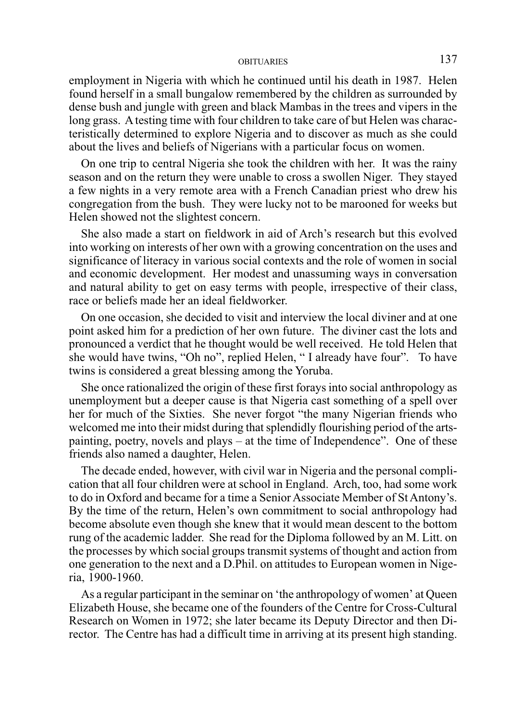employment in Nigeria with which he continued until his death in 1987. Helen found herself in a small bungalow remembered by the children as surrounded by dense bush and jungle with green and black Mambas in the trees and vipers in the long grass. A testing time with four children to take care of but Helen was characteristically determined to explore Nigeria and to discover as much as she could about the lives and beliefs of Nigerians with a particular focus on women.

On one trip to central Nigeria she took the children with her. It was the rainy season and on the return they were unable to cross a swollen Niger. They stayed a few nights in a very remote area with a French Canadian priest who drew his congregation from the bush. They were lucky not to be marooned for weeks but Helen showed not the slightest concern.

She also made a start on fieldwork in aid of Arch's research but this evolved into working on interests of her own with a growing concentration on the uses and significance of literacy in various social contexts and the role of women in social and economic development. Her modest and unassuming ways in conversation and natural ability to get on easy terms with people, irrespective of their class, race or beliefs made her an ideal fieldworker.

On one occasion, she decided to visit and interview the local diviner and at one point asked him for a prediction of her own future. The diviner cast the lots and pronounced a verdict that he thought would be well received. He told Helen that she would have twins, "Oh no", replied Helen, " I already have four". To have twins is considered a great blessing among the Yoruba.

She once rationalized the origin of these first forays into social anthropology as unemployment but a deeper cause is that Nigeria cast something of a spell over her for much of the Sixties. She never forgot "the many Nigerian friends who welcomed me into their midst during that splendidly flourishing period of the artspainting, poetry, novels and plays – at the time of Independence". One of these friends also named a daughter, Helen.

The decade ended, however, with civil war in Nigeria and the personal complication that all four children were at school in England. Arch, too, had some work to do in Oxford and became for a time a Senior Associate Member of St Antony's. By the time of the return, Helen's own commitment to social anthropology had become absolute even though she knew that it would mean descent to the bottom rung of the academic ladder. She read for the Diploma followed by an M. Litt. on the processes by which social groups transmit systems of thought and action from one generation to the next and a D.Phil. on attitudes to European women in Nigeria, 1900-1960.

As a regular participant in the seminar on 'the anthropology of women' at Queen Elizabeth House, she became one of the founders of the Centre for Cross-Cultural Research on Women in 1972; she later became its Deputy Director and then Director. The Centre has had a difficult time in arriving at its present high standing.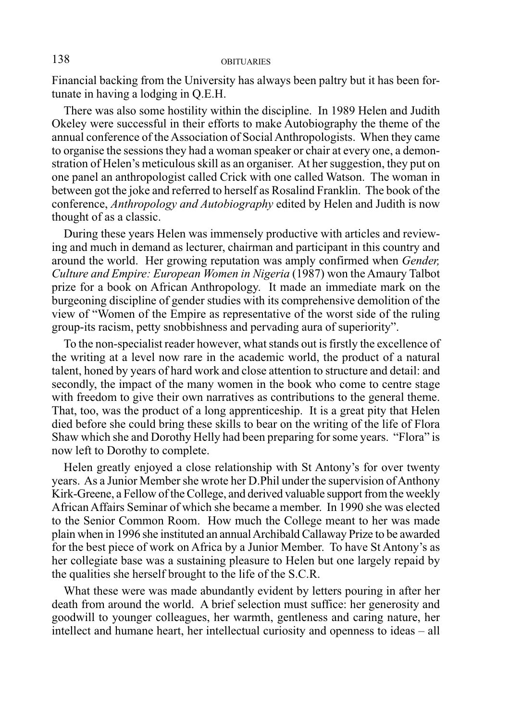Financial backing from the University has always been paltry but it has been fortunate in having a lodging in Q.E.H.

There was also some hostility within the discipline. In 1989 Helen and Judith Okeley were successful in their efforts to make Autobiography the theme of the annual conference of the Association of Social Anthropologists. When they came to organise the sessions they had a woman speaker or chair at every one, a demonstration of Helen's meticulous skill as an organiser. At her suggestion, they put on one panel an anthropologist called Crick with one called Watson. The woman in between got the joke and referred to herself as Rosalind Franklin. The book of the conference, *Anthropology and Autobiography* edited by Helen and Judith is now thought of as a classic.

During these years Helen was immensely productive with articles and reviewing and much in demand as lecturer, chairman and participant in this country and around the world. Her growing reputation was amply confirmed when *Gender, Culture and Empire: European Women in Nigeria* (1987) won the Amaury Talbot prize for a book on African Anthropology. It made an immediate mark on the burgeoning discipline of gender studies with its comprehensive demolition of the view of "Women of the Empire as representative of the worst side of the ruling group-its racism, petty snobbishness and pervading aura of superiority".

To the non-specialist reader however, what stands out is firstly the excellence of the writing at a level now rare in the academic world, the product of a natural talent, honed by years of hard work and close attention to structure and detail: and secondly, the impact of the many women in the book who come to centre stage with freedom to give their own narratives as contributions to the general theme. That, too, was the product of a long apprenticeship. It is a great pity that Helen died before she could bring these skills to bear on the writing of the life of Flora Shaw which she and Dorothy Helly had been preparing for some years. "Flora" is now left to Dorothy to complete.

Helen greatly enjoyed a close relationship with St Antony's for over twenty years. As a Junior Member she wrote her D.Phil under the supervision of Anthony Kirk-Greene, a Fellow of the College, and derived valuable support from the weekly African Affairs Seminar of which she became a member. In 1990 she was elected to the Senior Common Room. How much the College meant to her was made plain when in 1996 she instituted an annual Archibald Callaway Prize to be awarded for the best piece of work on Africa by a Junior Member. To have St Antony's as her collegiate base was a sustaining pleasure to Helen but one largely repaid by the qualities she herself brought to the life of the S.C.R.

What these were was made abundantly evident by letters pouring in after her death from around the world. A brief selection must suffice: her generosity and goodwill to younger colleagues, her warmth, gentleness and caring nature, her intellect and humane heart, her intellectual curiosity and openness to ideas – all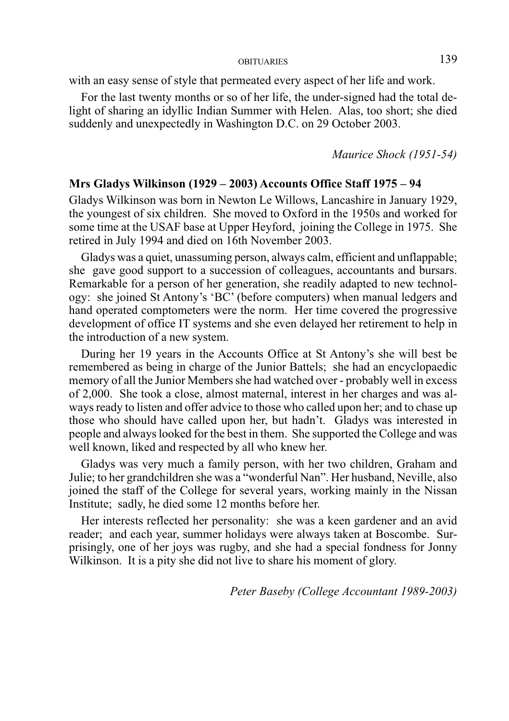with an easy sense of style that permeated every aspect of her life and work.

For the last twenty months or so of her life, the under-signed had the total delight of sharing an idyllic Indian Summer with Helen. Alas, too short; she died suddenly and unexpectedly in Washington D.C. on 29 October 2003.

*Maurice Shock (1951-54)*

## **Mrs Gladys Wilkinson (1929 – 2003) Accounts Office Staff 1975 – 94**

Gladys Wilkinson was born in Newton Le Willows, Lancashire in January 1929, the youngest of six children. She moved to Oxford in the 1950s and worked for some time at the USAF base at Upper Heyford, joining the College in 1975. She retired in July 1994 and died on 16th November 2003.

Gladys was a quiet, unassuming person, always calm, efficient and unflappable; she gave good support to a succession of colleagues, accountants and bursars. Remarkable for a person of her generation, she readily adapted to new technology: she joined St Antony's 'BC' (before computers) when manual ledgers and hand operated comptometers were the norm. Her time covered the progressive development of office IT systems and she even delayed her retirement to help in the introduction of a new system.

During her 19 years in the Accounts Office at St Antony's she will best be remembered as being in charge of the Junior Battels; she had an encyclopaedic memory of all the Junior Members she had watched over - probably well in excess of 2,000. She took a close, almost maternal, interest in her charges and was always ready to listen and offer advice to those who called upon her; and to chase up those who should have called upon her, but hadn't. Gladys was interested in people and always looked for the best in them. She supported the College and was well known, liked and respected by all who knew her.

Gladys was very much a family person, with her two children, Graham and Julie; to her grandchildren she was a "wonderful Nan". Her husband, Neville, also joined the staff of the College for several years, working mainly in the Nissan Institute; sadly, he died some 12 months before her.

Her interests reflected her personality: she was a keen gardener and an avid reader; and each year, summer holidays were always taken at Boscombe. Surprisingly, one of her joys was rugby, and she had a special fondness for Jonny Wilkinson. It is a pity she did not live to share his moment of glory.

*Peter Baseby (College Accountant 1989-2003)*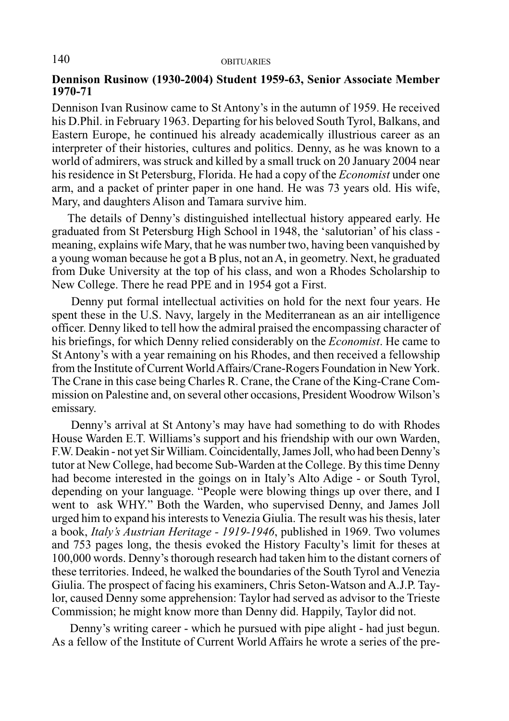#### **Dennison Rusinow (1930-2004) Student 1959-63, Senior Associate Member 1970-71**

Dennison Ivan Rusinow came to St Antony's in the autumn of 1959. He received his D.Phil. in February 1963. Departing for his beloved South Tyrol, Balkans, and Eastern Europe, he continued his already academically illustrious career as an interpreter of their histories, cultures and politics. Denny, as he was known to a world of admirers, was struck and killed by a small truck on 20 January 2004 near his residence in St Petersburg, Florida. He had a copy of the *Economist* under one arm, and a packet of printer paper in one hand. He was 73 years old. His wife, Mary, and daughters Alison and Tamara survive him.

 The details of Denny's distinguished intellectual history appeared early. He graduated from St Petersburg High School in 1948, the 'salutorian' of his class meaning, explains wife Mary, that he was number two, having been vanquished by a young woman because he got a B plus, not an A, in geometry. Next, he graduated from Duke University at the top of his class, and won a Rhodes Scholarship to New College. There he read PPE and in 1954 got a First.

 Denny put formal intellectual activities on hold for the next four years. He spent these in the U.S. Navy, largely in the Mediterranean as an air intelligence officer. Denny liked to tell how the admiral praised the encompassing character of his briefings, for which Denny relied considerably on the *Economist*. He came to St Antony's with a year remaining on his Rhodes, and then received a fellowship from the Institute of Current World Affairs/Crane-Rogers Foundation in New York. The Crane in this case being Charles R. Crane, the Crane of the King-Crane Commission on Palestine and, on several other occasions, President Woodrow Wilson's emissary.

 Denny's arrival at St Antony's may have had something to do with Rhodes House Warden E.T. Williams's support and his friendship with our own Warden, F.W. Deakin - not yet Sir William. Coincidentally, James Joll, who had been Denny's tutor at New College, had become Sub-Warden at the College. By this time Denny had become interested in the goings on in Italy's Alto Adige - or South Tyrol, depending on your language. "People were blowing things up over there, and I went to ask WHY." Both the Warden, who supervised Denny, and James Joll urged him to expand his interests to Venezia Giulia. The result was his thesis, later a book, *Italy's Austrian Heritage - 1919-1946*, published in 1969. Two volumes and 753 pages long, the thesis evoked the History Faculty's limit for theses at 100,000 words. Denny's thorough research had taken him to the distant corners of these territories. Indeed, he walked the boundaries of the South Tyrol and Venezia Giulia. The prospect of facing his examiners, Chris Seton-Watson and A.J.P. Taylor, caused Denny some apprehension: Taylor had served as advisor to the Trieste Commission; he might know more than Denny did. Happily, Taylor did not.

 Denny's writing career - which he pursued with pipe alight - had just begun. As a fellow of the Institute of Current World Affairs he wrote a series of the pre-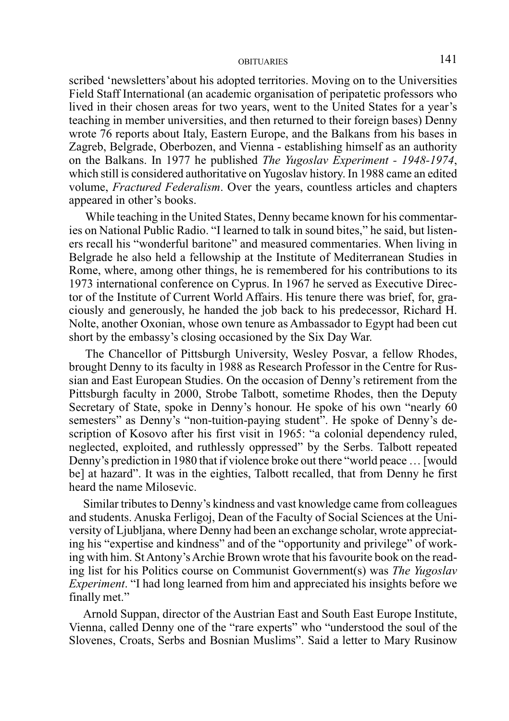scribed 'newsletters'about his adopted territories. Moving on to the Universities Field Staff International (an academic organisation of peripatetic professors who lived in their chosen areas for two years, went to the United States for a year's teaching in member universities, and then returned to their foreign bases) Denny wrote 76 reports about Italy, Eastern Europe, and the Balkans from his bases in Zagreb, Belgrade, Oberbozen, and Vienna - establishing himself as an authority on the Balkans. In 1977 he published *The Yugoslav Experiment - 1948-1974*, which still is considered authoritative on Yugoslav history. In 1988 came an edited volume, *Fractured Federalism*. Over the years, countless articles and chapters appeared in other's books.

 While teaching in the United States, Denny became known for his commentaries on National Public Radio. "I learned to talk in sound bites," he said, but listeners recall his "wonderful baritone" and measured commentaries. When living in Belgrade he also held a fellowship at the Institute of Mediterranean Studies in Rome, where, among other things, he is remembered for his contributions to its 1973 international conference on Cyprus. In 1967 he served as Executive Director of the Institute of Current World Affairs. His tenure there was brief, for, graciously and generously, he handed the job back to his predecessor, Richard H. Nolte, another Oxonian, whose own tenure as Ambassador to Egypt had been cut short by the embassy's closing occasioned by the Six Day War.

 The Chancellor of Pittsburgh University, Wesley Posvar, a fellow Rhodes, brought Denny to its faculty in 1988 as Research Professor in the Centre for Russian and East European Studies. On the occasion of Denny's retirement from the Pittsburgh faculty in 2000, Strobe Talbott, sometime Rhodes, then the Deputy Secretary of State, spoke in Denny's honour. He spoke of his own "nearly 60 semesters" as Denny's "non-tuition-paying student". He spoke of Denny's description of Kosovo after his first visit in 1965: "a colonial dependency ruled, neglected, exploited, and ruthlessly oppressed" by the Serbs. Talbott repeated Denny's prediction in 1980 that if violence broke out there "world peace … [would be] at hazard". It was in the eighties, Talbott recalled, that from Denny he first heard the name Milosevic.

 Similar tributes to Denny's kindness and vast knowledge came from colleagues and students. Anuska Ferligoj, Dean of the Faculty of Social Sciences at the University of Ljubljana, where Denny had been an exchange scholar, wrote appreciating his "expertise and kindness" and of the "opportunity and privilege" of working with him. St Antony's Archie Brown wrote that his favourite book on the reading list for his Politics course on Communist Government(s) was *The Yugoslav Experiment*. "I had long learned from him and appreciated his insights before we finally met."

 Arnold Suppan, director of the Austrian East and South East Europe Institute, Vienna, called Denny one of the "rare experts" who "understood the soul of the Slovenes, Croats, Serbs and Bosnian Muslims". Said a letter to Mary Rusinow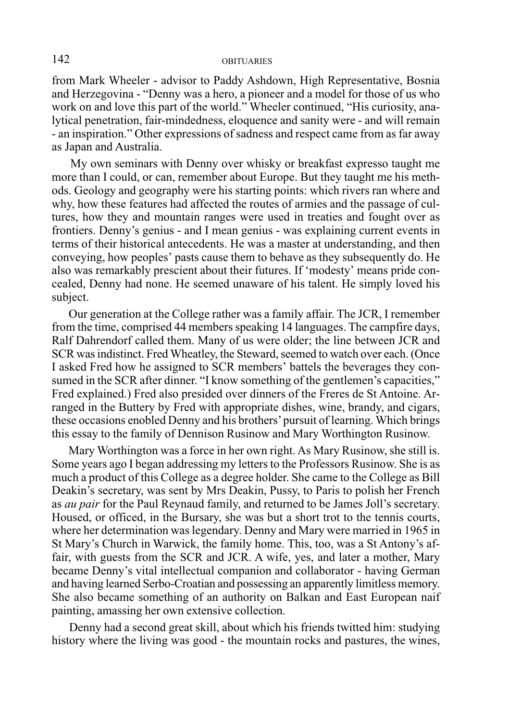from Mark Wheeler - advisor to Paddy Ashdown, High Representative, Bosnia and Herzegovina - "Denny was a hero, a pioneer and a model for those of us who work on and love this part of the world." Wheeler continued, "His curiosity, analytical penetration, fair-mindedness, eloquence and sanity were - and will remain - an inspiration." Other expressions of sadness and respect came from as far away as Japan and Australia.

 My own seminars with Denny over whisky or breakfast expresso taught me more than I could, or can, remember about Europe. But they taught me his methods. Geology and geography were his starting points: which rivers ran where and why, how these features had affected the routes of armies and the passage of cultures, how they and mountain ranges were used in treaties and fought over as frontiers. Denny's genius - and I mean genius - was explaining current events in terms of their historical antecedents. He was a master at understanding, and then conveying, how peoples' pasts cause them to behave as they subsequently do. He also was remarkably prescient about their futures. If 'modesty' means pride concealed, Denny had none. He seemed unaware of his talent. He simply loved his subject.

 Our generation at the College rather was a family affair. The JCR, I remember from the time, comprised 44 members speaking 14 languages. The campfire days, Ralf Dahrendorf called them. Many of us were older; the line between JCR and SCR was indistinct. Fred Wheatley, the Steward, seemed to watch over each. (Once I asked Fred how he assigned to SCR members' battels the beverages they consumed in the SCR after dinner. "I know something of the gentlemen's capacities," Fred explained.) Fred also presided over dinners of the Freres de St Antoine. Arranged in the Buttery by Fred with appropriate dishes, wine, brandy, and cigars, these occasions enobled Denny and his brothers' pursuit of learning. Which brings this essay to the family of Dennison Rusinow and Mary Worthington Rusinow.

 Mary Worthington was a force in her own right. As Mary Rusinow, she still is. Some years ago I began addressing my letters to the Professors Rusinow. She is as much a product of this College as a degree holder. She came to the College as Bill Deakin's secretary, was sent by Mrs Deakin, Pussy, to Paris to polish her French as *au pair* for the Paul Reynaud family, and returned to be James Joll's secretary. Housed, or officed, in the Bursary, she was but a short trot to the tennis courts, where her determination was legendary. Denny and Mary were married in 1965 in St Mary's Church in Warwick, the family home. This, too, was a St Antony's affair, with guests from the SCR and JCR. A wife, yes, and later a mother, Mary became Denny's vital intellectual companion and collaborator - having German and having learned Serbo-Croatian and possessing an apparently limitless memory. She also became something of an authority on Balkan and East European naif painting, amassing her own extensive collection.

 Denny had a second great skill, about which his friends twitted him: studying history where the living was good - the mountain rocks and pastures, the wines,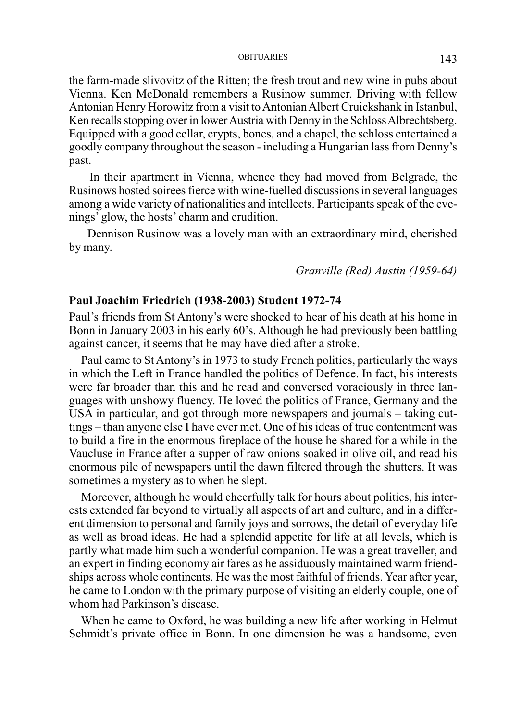the farm-made slivovitz of the Ritten; the fresh trout and new wine in pubs about Vienna. Ken McDonald remembers a Rusinow summer. Driving with fellow Antonian Henry Horowitz from a visit to Antonian Albert Cruickshank in Istanbul, Ken recalls stopping over in lower Austria with Denny in the Schloss Albrechtsberg. Equipped with a good cellar, crypts, bones, and a chapel, the schloss entertained a goodly company throughout the season - including a Hungarian lass from Denny's past.

 In their apartment in Vienna, whence they had moved from Belgrade, the Rusinows hosted soirees fierce with wine-fuelled discussions in several languages among a wide variety of nationalities and intellects. Participants speak of the evenings' glow, the hosts' charm and erudition.

 Dennison Rusinow was a lovely man with an extraordinary mind, cherished by many.

## *Granville (Red) Austin (1959-64)*

#### **Paul Joachim Friedrich (1938-2003) Student 1972-74**

Paul's friends from St Antony's were shocked to hear of his death at his home in Bonn in January 2003 in his early 60's. Although he had previously been battling against cancer, it seems that he may have died after a stroke.

Paul came to St Antony's in 1973 to study French politics, particularly the ways in which the Left in France handled the politics of Defence. In fact, his interests were far broader than this and he read and conversed voraciously in three languages with unshowy fluency. He loved the politics of France, Germany and the USA in particular, and got through more newspapers and journals – taking cuttings – than anyone else I have ever met. One of his ideas of true contentment was to build a fire in the enormous fireplace of the house he shared for a while in the Vaucluse in France after a supper of raw onions soaked in olive oil, and read his enormous pile of newspapers until the dawn filtered through the shutters. It was sometimes a mystery as to when he slept.

Moreover, although he would cheerfully talk for hours about politics, his interests extended far beyond to virtually all aspects of art and culture, and in a different dimension to personal and family joys and sorrows, the detail of everyday life as well as broad ideas. He had a splendid appetite for life at all levels, which is partly what made him such a wonderful companion. He was a great traveller, and an expert in finding economy air fares as he assiduously maintained warm friendships across whole continents. He was the most faithful of friends. Year after year, he came to London with the primary purpose of visiting an elderly couple, one of whom had Parkinson's disease.

When he came to Oxford, he was building a new life after working in Helmut Schmidt's private office in Bonn. In one dimension he was a handsome, even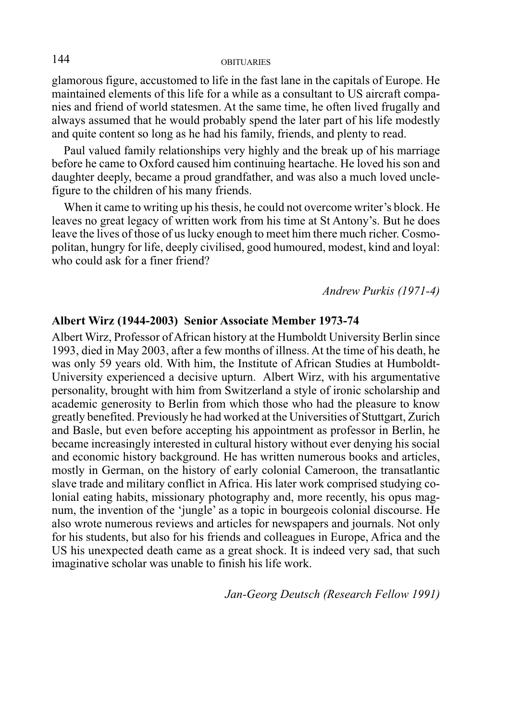glamorous figure, accustomed to life in the fast lane in the capitals of Europe. He maintained elements of this life for a while as a consultant to US aircraft companies and friend of world statesmen. At the same time, he often lived frugally and always assumed that he would probably spend the later part of his life modestly and quite content so long as he had his family, friends, and plenty to read.

Paul valued family relationships very highly and the break up of his marriage before he came to Oxford caused him continuing heartache. He loved his son and daughter deeply, became a proud grandfather, and was also a much loved unclefigure to the children of his many friends.

When it came to writing up his thesis, he could not overcome writer's block. He leaves no great legacy of written work from his time at St Antony's. But he does leave the lives of those of us lucky enough to meet him there much richer. Cosmopolitan, hungry for life, deeply civilised, good humoured, modest, kind and loyal: who could ask for a finer friend?

*Andrew Purkis (1971-4)*

#### **Albert Wirz (1944-2003) Senior Associate Member 1973-74**

Albert Wirz, Professor of African history at the Humboldt University Berlin since 1993, died in May 2003, after a few months of illness. At the time of his death, he was only 59 years old. With him, the Institute of African Studies at Humboldt-University experienced a decisive upturn. Albert Wirz, with his argumentative personality, brought with him from Switzerland a style of ironic scholarship and academic generosity to Berlin from which those who had the pleasure to know greatly benefited. Previously he had worked at the Universities of Stuttgart, Zurich and Basle, but even before accepting his appointment as professor in Berlin, he became increasingly interested in cultural history without ever denying his social and economic history background. He has written numerous books and articles, mostly in German, on the history of early colonial Cameroon, the transatlantic slave trade and military conflict in Africa. His later work comprised studying colonial eating habits, missionary photography and, more recently, his opus magnum, the invention of the 'jungle' as a topic in bourgeois colonial discourse. He also wrote numerous reviews and articles for newspapers and journals. Not only for his students, but also for his friends and colleagues in Europe, Africa and the US his unexpected death came as a great shock. It is indeed very sad, that such imaginative scholar was unable to finish his life work.

*Jan-Georg Deutsch (Research Fellow 1991)*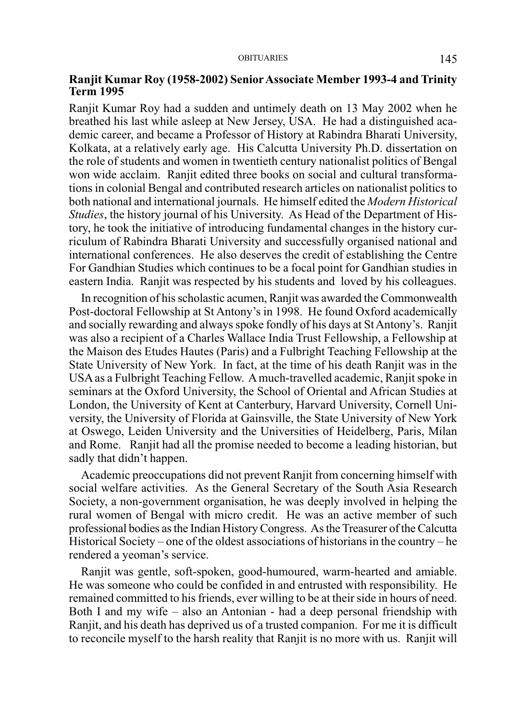## **Ranjit Kumar Roy (1958-2002) Senior Associate Member 1993-4 and Trinity Term 1995**

Ranjit Kumar Roy had a sudden and untimely death on 13 May 2002 when he breathed his last while asleep at New Jersey, USA. He had a distinguished academic career, and became a Professor of History at Rabindra Bharati University, Kolkata, at a relatively early age. His Calcutta University Ph.D. dissertation on the role of students and women in twentieth century nationalist politics of Bengal won wide acclaim. Ranjit edited three books on social and cultural transformations in colonial Bengal and contributed research articles on nationalist politics to both national and international journals. He himself edited the *Modern Historical Studies*, the history journal of his University. As Head of the Department of History, he took the initiative of introducing fundamental changes in the history curriculum of Rabindra Bharati University and successfully organised national and international conferences. He also deserves the credit of establishing the Centre For Gandhian Studies which continues to be a focal point for Gandhian studies in eastern India. Ranjit was respected by his students and loved by his colleagues.

In recognition of his scholastic acumen, Ranjit was awarded the Commonwealth Post-doctoral Fellowship at St Antony's in 1998. He found Oxford academically and socially rewarding and always spoke fondly of his days at St Antony's. Ranjit was also a recipient of a Charles Wallace India Trust Fellowship, a Fellowship at the Maison des Etudes Hautes (Paris) and a Fulbright Teaching Fellowship at the State University of New York. In fact, at the time of his death Ranjit was in the USA as a Fulbright Teaching Fellow. A much-travelled academic, Ranjit spoke in seminars at the Oxford University, the School of Oriental and African Studies at London, the University of Kent at Canterbury, Harvard University, Cornell University, the University of Florida at Gainsville, the State University of New York at Oswego, Leiden University and the Universities of Heidelberg, Paris, Milan and Rome. Ranjit had all the promise needed to become a leading historian, but sadly that didn't happen.

Academic preoccupations did not prevent Ranjit from concerning himself with social welfare activities. As the General Secretary of the South Asia Research Society, a non-government organisation, he was deeply involved in helping the rural women of Bengal with micro credit. He was an active member of such professional bodies as the Indian History Congress. As the Treasurer of the Calcutta Historical Society – one of the oldest associations of historians in the country – he rendered a yeoman's service.

Ranjit was gentle, soft-spoken, good-humoured, warm-hearted and amiable. He was someone who could be confided in and entrusted with responsibility. He remained committed to his friends, ever willing to be at their side in hours of need. Both I and my wife – also an Antonian - had a deep personal friendship with Ranjit, and his death has deprived us of a trusted companion. For me it is difficult to reconcile myself to the harsh reality that Ranjit is no more with us. Ranjit will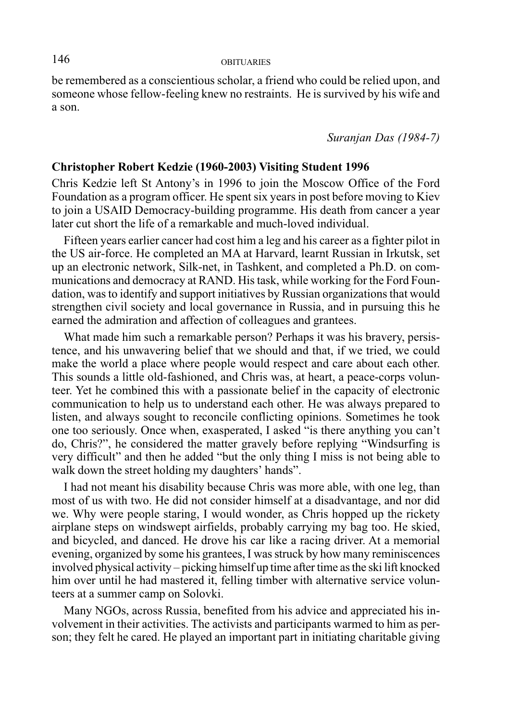be remembered as a conscientious scholar, a friend who could be relied upon, and someone whose fellow-feeling knew no restraints. He is survived by his wife and a son.

*Suranjan Das (1984-7)*

## **Christopher Robert Kedzie (1960-2003) Visiting Student 1996**

Chris Kedzie left St Antony's in 1996 to join the Moscow Office of the Ford Foundation as a program officer. He spent six years in post before moving to Kiev to join a USAID Democracy-building programme. His death from cancer a year later cut short the life of a remarkable and much-loved individual.

Fifteen years earlier cancer had cost him a leg and his career as a fighter pilot in the US air-force. He completed an MA at Harvard, learnt Russian in Irkutsk, set up an electronic network, Silk-net, in Tashkent, and completed a Ph.D. on communications and democracy at RAND. His task, while working for the Ford Foundation, was to identify and support initiatives by Russian organizations that would strengthen civil society and local governance in Russia, and in pursuing this he earned the admiration and affection of colleagues and grantees.

What made him such a remarkable person? Perhaps it was his bravery, persistence, and his unwavering belief that we should and that, if we tried, we could make the world a place where people would respect and care about each other. This sounds a little old-fashioned, and Chris was, at heart, a peace-corps volunteer. Yet he combined this with a passionate belief in the capacity of electronic communication to help us to understand each other. He was always prepared to listen, and always sought to reconcile conflicting opinions. Sometimes he took one too seriously. Once when, exasperated, I asked "is there anything you can't do, Chris?", he considered the matter gravely before replying "Windsurfing is very difficult" and then he added "but the only thing I miss is not being able to walk down the street holding my daughters' hands".

I had not meant his disability because Chris was more able, with one leg, than most of us with two. He did not consider himself at a disadvantage, and nor did we. Why were people staring, I would wonder, as Chris hopped up the rickety airplane steps on windswept airfields, probably carrying my bag too. He skied, and bicycled, and danced. He drove his car like a racing driver. At a memorial evening, organized by some his grantees, I was struck by how many reminiscences involved physical activity – picking himself up time after time as the ski lift knocked him over until he had mastered it, felling timber with alternative service volunteers at a summer camp on Solovki.

Many NGOs, across Russia, benefited from his advice and appreciated his involvement in their activities. The activists and participants warmed to him as person; they felt he cared. He played an important part in initiating charitable giving